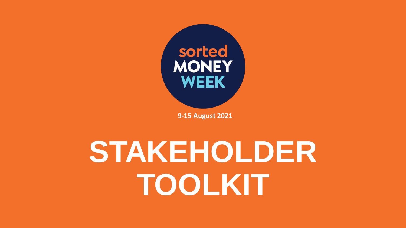

**9-15 August 2021**

# **STAKEHOLDER TOOLKIT**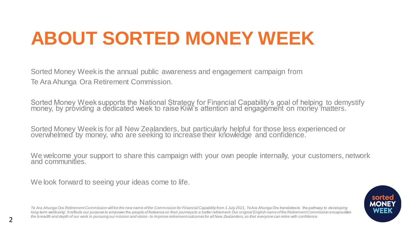## **ABOUT SORTED MONEY WEEK**

Sorted Money Week is the annual public awareness and engagement campaign from Te Ara Ahunga Ora Retirement Commission.

Sorted Money Week supports the National Strategy for Financial Capability's goal of helping to demystify money, by próviding a dedicated week to raise Kiwi's attention and engagement on money matters. `

Sorted Money Week is for all New Zealanders, but particularly helpful for those less experienced or overwhelmed by money, who are seeking to increase their knowledge and confidence.

We welcome your support to share this campaign with your own people internally, your customers, network and communities.

We look forward to seeing your ideas come to life.



*Te Ara Ahunga Ora Retirement Commission will be the new name of the Commission for Financial Capability from 1 July 2021. Te Ara Ahunga Ora translates to 'the pathway to developing*  long-term wellbeing'. It reflects our purpose to empower the people of Aotearoa on their journeys to a better retirement. Our original English name of the Retirement Commission encapsulates *the breadth and depth of our work in pursuing our mission and vision - to improve retirement outcomes for all New Zealanders, so that everyone can retire with confidence*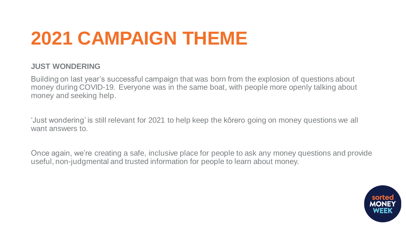## **2021 CAMPAIGN THEME**

#### **JUST WONDERING**

Building on last year's successful campaign that was born from the explosion of questions about money during COVID-19. Everyone was in the same boat, with people more openly talking about money and seeking help.

'Just wondering' is still relevant for 2021 to help keep the kōrero going on money questions we all want answers to.

Once again, we're creating a safe, inclusive place for people to ask any money questions and provide useful, non-judgmental and trusted information for people to learn about money.

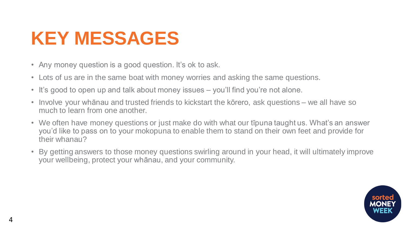## **KEY MESSAGES**

- Any money question is a good question. It's ok to ask.
- Lots of us are in the same boat with money worries and asking the same questions.
- It's good to open up and talk about money issues you'll find you're not alone.
- Involve your whānau and trusted friends to kickstart the kōrero, ask questions we all have so much to learn from one another.
- We often have money questions or just make do with what our tipuna taught us. What's an answer you'd like to pass on to your mokopuna to enable them to stand on their own feet and provide for their whanau?
- By getting answers to those money questions swirling around in your head, it will ultimately improve your wellbeing, protect your whānau, and your community.

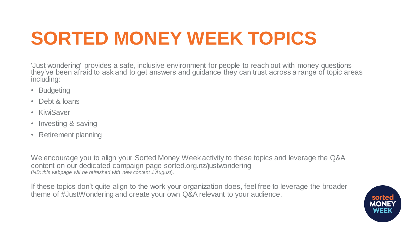## **SORTED MONEY WEEK TOPICS**

'Just wondering' provides a safe, inclusive environment for people to reach out with money questions they've been afraid to ask and to get answers and guidance they can trust across a range of topic areas including:

- Budgeting
- Debt & loans
- KiwiSaver
- Investing & saving
- Retirement planning

We encourage you to align your Sorted Money Week activity to these topics and leverage the Q&A content on our dedicated campaign page sorted.org.nz/justwondering (*NB: this webpage will be refreshed with new content 1 August*).

If these topics don't quite align to the work your organization does, feel free to leverage the broader theme of #JustWondering and create your own Q&A relevant to your audience.

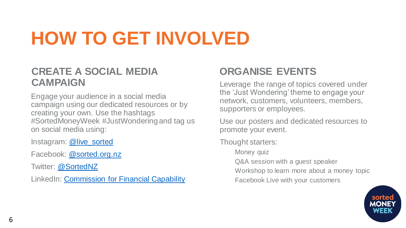## **HOW TO GET INVOLVED**

#### **CREATE A SOCIAL MEDIA CAMPAIGN**

Engage your audience in a social media campaign using our dedicated resources or by creating your own. Use the hashtags #SortedMoneyWeek #JustWondering and tag us on social media using:

Instagram: [@live\\_sorted](https://www.instagram.com/live_sorted/)

Facebook: [@sorted.org.nz](https://www.facebook.com/sorted.org.nz)

Twitter: [@SortedNZ](https://twitter.com/SortedNZ)

LinkedIn: [Commission for Financial Capability](https://www.linkedin.com/company/commission-for-financial-capability)

### **ORGANISE EVENTS**

Leverage the range of topics covered under the 'Just Wondering' theme to engage your network, customers, volunteers, members, supporters or employees.

Use our posters and dedicated resources to promote your event.

Thought starters:

Money quiz

Q&A session with a guest speaker

Workshop to learn more about a money topic

Facebook Live with your customers

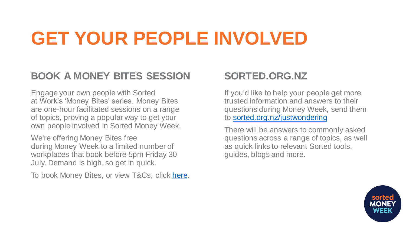## **GET YOUR PEOPLE INVOLVED**

### **BOOK A MONEY BITES SESSION**

Engage your own people with Sorted at Work's 'Money Bites' series. Money Bites are one-hour facilitated sessions on a range of topics, proving a popular way to get your own people involved in Sorted Money Week.

We're offering Money Bites free during Money Week to a limited number of workplaces that book before 5pm Friday 30 July. Demand is high, so get in quick.

To book Money Bites, or view T&Cs, click [here.](https://cffc.govt.nz/sorted/sorted-at-work/money-bites-webinar?utm_campaign=Money%20Week%202021&utm_medium=email&_hsmi=2&_hsenc=p2ANqtz-8J6IPmTv218CmZ9QB2crWEdyEEL9UKEmMX8nSBcZA9zSXC-BLRr8qchNoVrmSai1tEDRYAxBzvmxA6JrxxHT-LuBxl1A&utm_content=2&utm_source=hs_email)

### **SORTED.ORG.NZ**

If you'd like to help your people get more trusted information and answers to their questions during Money Week, send them to [sorted.org.nz/justwondering](https://sorted.org.nz/justwondering)

There will be answers to commonly asked questions across a range of topics, as well as quick links to relevant Sorted tools, guides, blogs and more.

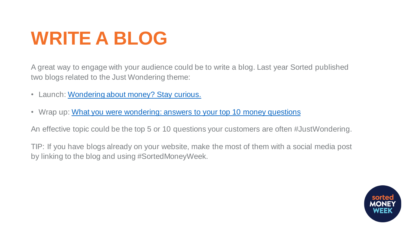## **WRITE A BLOG**

A great way to engage with your audience could be to write a blog. Last year Sorted published two blogs related to the Just Wondering theme:

- Launch: [Wondering about money? Stay curious.](https://sorted.org.nz/must-reads/wondering-about-money-stay-curious/)
- Wrap up: [What you were wondering: answers to your top 10 money questions](https://sorted.org.nz/must-reads/what-you-were-wondering-answers-to-your-top-10-money-questions/)

An effective topic could be the top 5 or 10 questions your customers are often #JustWondering.

TIP: If you have blogs already on your website, make the most of them with a social media post by linking to the blog and using #SortedMoneyWeek.

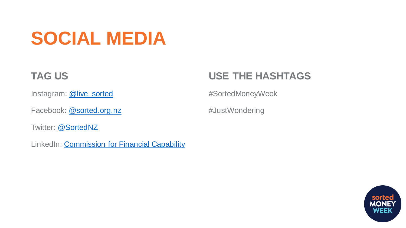## **SOCIAL MEDIA**

### **TAG US**

Instagram: [@live\\_sorted](https://www.instagram.com/live_sorted/)

Facebook: [@sorted.org.nz](https://www.facebook.com/sorted.org.nz)

Twitter: [@SortedNZ](https://twitter.com/SortedNZ)

LinkedIn: [Commission for Financial Capability](https://www.linkedin.com/company/commission-for-financial-capability)

### **USE THE HASHTAGS**

#SortedMoneyWeek

#JustWondering

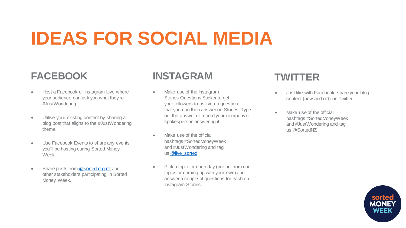## **IDEAS FOR SOCIAL MEDIA**

### **FACEBOOK**

- Host a Facebook or Instagram Live where your audience can ask you what they're #JustWondering.
- Utilise your existing content by sharing a blog post that aligns to the #JustWondering theme.
- Use Facebook Events to share any events you'll be hosting during Sorted Money Week.
- Share posts from [@sorted.org.nz](https://www.facebook.com/sorted.org.nz) and other stakeholders participating in Sorted Money Week.

#### **INSTAGRAM**

- Make use of the Instagram Stories Questions Sticker to get your followers to ask you a question that you can then answer on Stories. Type out the answer or record your company's spokesperson answering it.
- Make use of the official hashtags #SortedMoneyWeek and #JustWondering and tag us [@live\\_sorted](https://www.instagram.com/live_sorted/)
- Pick a topic for each day (pulling from our topics or coming up with your own) and answer a couple of questions for each on Instagram Stories.

#### **TWITTER**

- Just like with Facebook, share your blog content (new and old) on Twitter.
- Make use of the official hashtags #SortedMoneyWeek and #JustWondering and tag us @SortedNZ

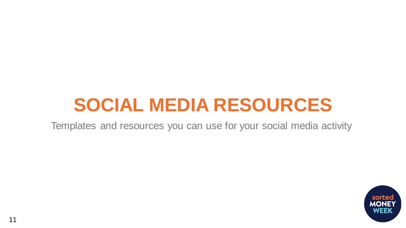### **SOCIAL MEDIA RESOURCES**

Templates and resources you can use for your social media activity

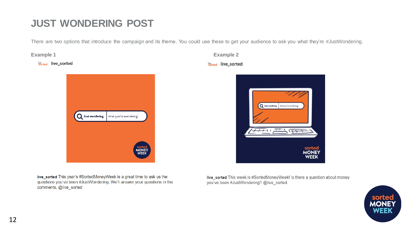### **JUST WONDERING POST**

There are two options that introduce the campaign and its theme. You could use these to get your audience to ask you what they're #JustWondering.

*<u>k<sub>s</sub>*crted</u> live\_sorted



**Example 1 Example 2** sorted live\_sorted



live\_sorted This year's #SortedMoneyWeek is a great time to ask us the questions you've been #JustWondering. We'll answer your questions in the comments. @live sorted

live\_sorted This week is #SortedMoneyWeek! Is there a question about money you've been #JustWondering? @live\_sorted

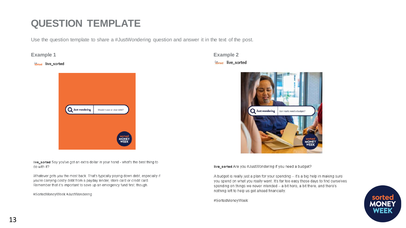### **QUESTION TEMPLATE**

Use the question template to share a #JustWondering question and answer it in the text of the post.

sorted live\_sorted



live\_sorted Say you've got an extra dollar in your hand - what's the best thing to do with it?

Whatever gets you the most back. That's typically paying down debt, especially if you're carrying costly debt from a payday lender, store card or credit card. Remember that it's important to save up an emergency fund first, though.

#SortedMoneyWeek #JustWondering

**Example 1 Example 2** sorted live\_sorted



live\_sorted Are you #JustWondering if you need a budget?

A budget is really just a plan for your spending - it's a big help in making sure you spend on what you really want. It's far too easy these days to find ourselves spending on things we never intended - a bit here, a bit there, and there's nothing left to help us get ahead financially.

#SortedMoneyWeek

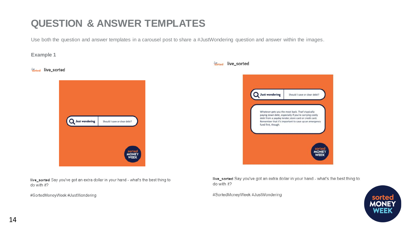### **QUESTION & ANSWER TEMPLATES**

Use both the question and answer templates in a carousel post to share a #JustWondering question and answer within the images.

#### **Example 1**

#### sorted live\_sorted



live\_sorted Say you've got an extra dollar in your hand - what's the best thing to do with it?

#SortedMoneyWeek #JustWondering



live\_sorted Say you've got an extra dollar in your hand - what's the best thing to do with it?

#SortedMoneyWeek #JustWondering

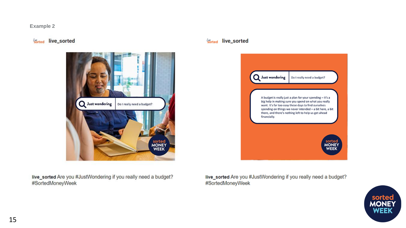#### **Example 2**

#### sorted live\_sorted



sorted live\_sorted



live\_sorted Are you #JustWondering if you really need a budget? #SortedMoneyWeek

live\_sorted Are you #JustWondering if you really need a budget? #SortedMoneyWeek

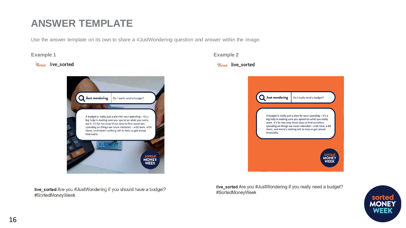### **ANSWER TEMPLATE**

Use the answer template on its own to share a #JustWondering question and answer within the image.

#### **Sorted** live sorted



live\_sorted Are you #JustWondering if you should have a budget? #SortedMoneyWeek

**Example 1 Example 2** 

#### sorted live\_sorted



live\_sorted Are you #JustWondering if you really need a budget? #SortedMoneyWeek

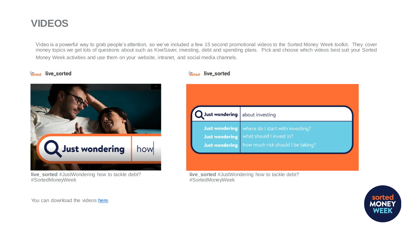#### **VIDEOS**

Video is a powerful way to grab people's attention, so we've included a few 15 second promotional videos to the Sorted Money Week toolkit. They cover money topics we get lots of questions about such as KiwiSaver, investing, debt and spending plans. Pick and choose which videos best suit your Sorted Money Week activities and use them on your website, intranet, and social media channels.

#### sorted live\_sorted



**live\_sorted** #JustWondering how to tackle debt? #SortedMoneyWeek

#### sorted live\_sorted



**live\_sorted** #JustWondering how to tackle debt? #SortedMoneyWeek



You can download the videos [here.](https://vimeo.com/showcase/8638133)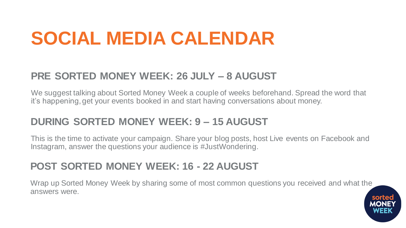## **SOCIAL MEDIA CALENDAR**

### **PRE SORTED MONEY WEEK: 26 JULY – 8 AUGUST**

We suggest talking about Sorted Money Week a couple of weeks beforehand. Spread the word that it's happening, get your events booked in and start having conversations about money.

#### **DURING SORTED MONEY WEEK: 9 – 15 AUGUST**

This is the time to activate your campaign. Share your blog posts, host Live events on Facebook and Instagram, answer the questions your audience is #JustWondering.

### **POST SORTED MONEY WEEK: 16 - 22 AUGUST**

Wrap up Sorted Money Week by sharing some of most common questions you received and what the answers were.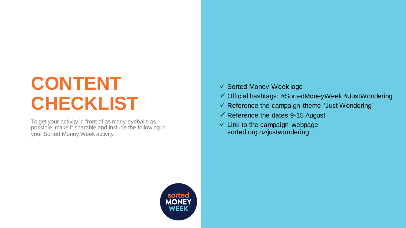## **CONTENT CHECKLIST**

To get your activity in front of as many eyeballs as possible, make it sharable and include the following in your Sorted Money Week activity.

- ✓ Sorted Money Week logo
- ✓ Official hashtags: #SortedMoneyWeek #JustWondering
- ✓ Reference the campaign theme 'Just Wondering'
- $\checkmark$  Reference the dates 9-15 August
- $\checkmark$  Link to the campaign webpage sorted.org.nz/justwondering